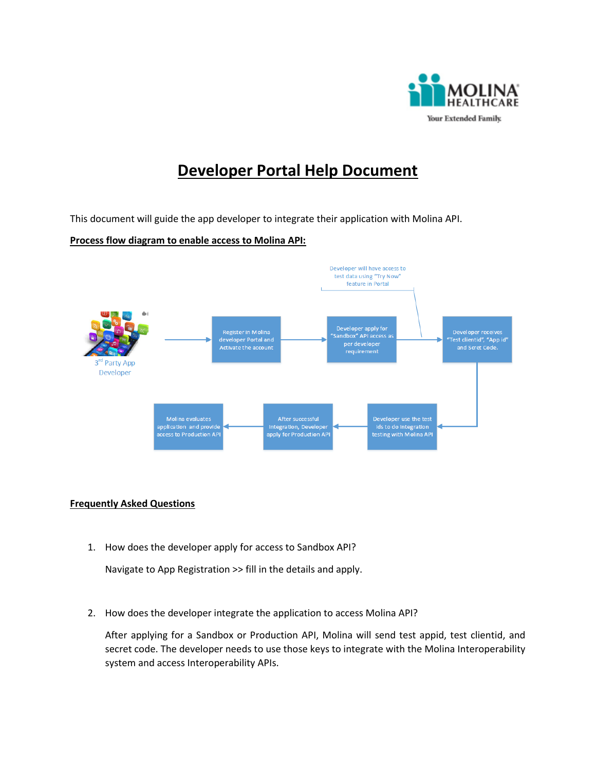

## **Developer Portal Help Document**

This document will guide the app developer to integrate their application with Molina API.

## **Process flow diagram to enable access to Molina API:**



## **Frequently Asked Questions**

1. How does the developer apply for access to Sandbox API?

Navigate to App Registration >> fill in the details and apply.

2. How does the developer integrate the application to access Molina API?

After applying for a Sandbox or Production API, Molina will send test appid, test clientid, and secret code. The developer needs to use those keys to integrate with the Molina Interoperability system and access Interoperability APIs.